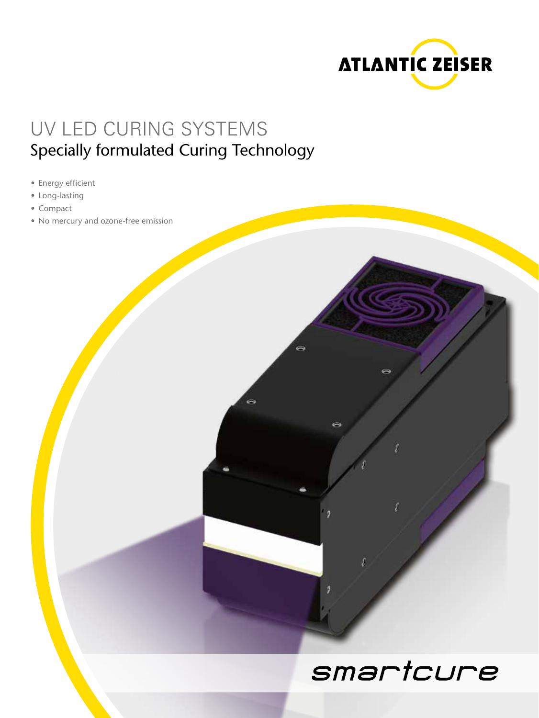

## UV LED CURING SYSTEMS Specially formulated Curing Technology

- Energy efficient
- • Long-lasting
- • Compact
- No mercury and ozone-free emission

## smartcure